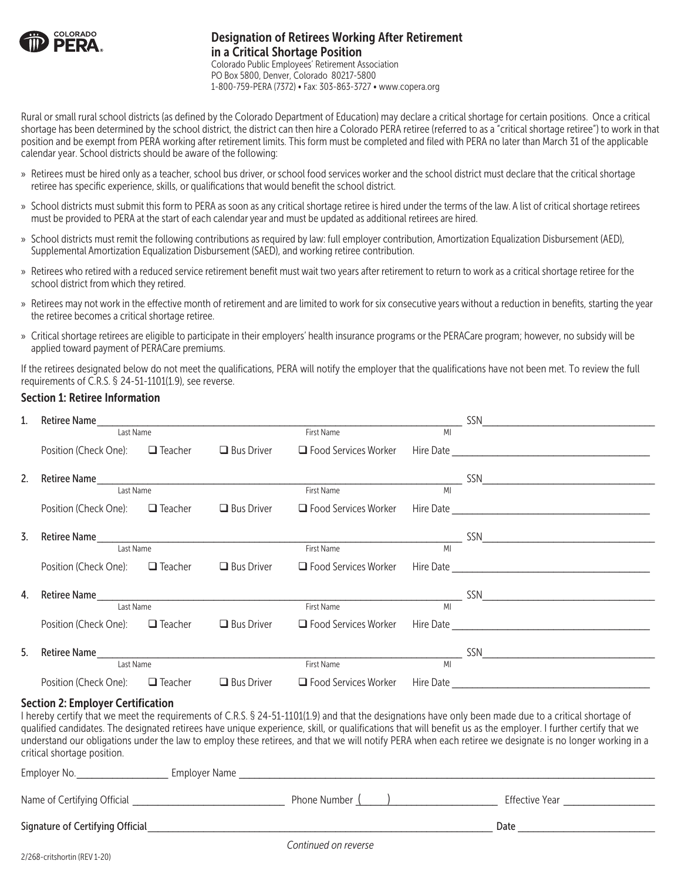

## Designation of Retirees Working After Retirement in a Critical Shortage Position Colorado Public Employees' Retirement Association PO Box 5800, Denver, Colorado 80217-5800

1-800-759-PERA (7372) • Fax: 303-863-3727 • www.copera.org

Rural or small rural school districts (as defined by the Colorado Department of Education) may declare a critical shortage for certain positions. Once a critical shortage has been determined by the school district, the district can then hire a Colorado PERA retiree (referred to as a "critical shortage retiree") to work in that position and be exempt from PERA working after retirement limits. This form must be completed and filed with PERA no later than March 31 of the applicable calendar year. School districts should be aware of the following:

- » Retirees must be hired only as a teacher, school bus driver, or school food services worker and the school district must declare that the critical shortage retiree has specific experience, skills, or qualifications that would benefit the school district.
- » School districts must submit this form to PERA as soon as any critical shortage retiree is hired under the terms of the law. A list of critical shortage retirees must be provided to PERA at the start of each calendar year and must be updated as additional retirees are hired.
- » School districts must remit the following contributions as required by law: full employer contribution, Amortization Equalization Disbursement (AED), Supplemental Amortization Equalization Disbursement (SAED), and working retiree contribution.
- » Retirees who retired with a reduced service retirement benefit must wait two years after retirement to return to work as a critical shortage retiree for the school district from which they retired.
- » Retirees may not work in the effective month of retirement and are limited to work for six consecutive years without a reduction in benefits, starting the year the retiree becomes a critical shortage retiree.
- » Critical shortage retirees are eligible to participate in their employers' health insurance programs or the PERACare program; however, no subsidy will be applied toward payment of PERACare premiums.

If the retirees designated below do not meet the qualifications, PERA will notify the employer that the qualifications have not been met. To review the full requirements of C.R.S. § 24-51-1101(1.9), see reverse.

## Section 1: Retiree Information

| 1.               |                                                                         |                |                   | Retiree Name and the contract of the contract of the contract of the contract of the contract of the contract of the contract of the contract of the contract of the contract of the contract of the contract of the contract |    | SSN 2008 CONTRACTOR CONTRACTOR                                                                                                                                                                                                                                                                                                                                                                                                                                                       |
|------------------|-------------------------------------------------------------------------|----------------|-------------------|-------------------------------------------------------------------------------------------------------------------------------------------------------------------------------------------------------------------------------|----|--------------------------------------------------------------------------------------------------------------------------------------------------------------------------------------------------------------------------------------------------------------------------------------------------------------------------------------------------------------------------------------------------------------------------------------------------------------------------------------|
|                  | Last Name                                                               |                |                   | <b>First Name</b>                                                                                                                                                                                                             | MI |                                                                                                                                                                                                                                                                                                                                                                                                                                                                                      |
|                  | Position (Check One):                                                   | $\Box$ Teacher | $\Box$ Bus Driver | $\Box$ Food Services Worker                                                                                                                                                                                                   |    |                                                                                                                                                                                                                                                                                                                                                                                                                                                                                      |
| 2.               |                                                                         |                |                   |                                                                                                                                                                                                                               |    |                                                                                                                                                                                                                                                                                                                                                                                                                                                                                      |
|                  | Last Name                                                               |                |                   | First Name                                                                                                                                                                                                                    | MI |                                                                                                                                                                                                                                                                                                                                                                                                                                                                                      |
|                  | Position (Check One):                                                   | $\Box$ Teacher | $\Box$ Bus Driver | $\Box$ Food Services Worker                                                                                                                                                                                                   |    |                                                                                                                                                                                                                                                                                                                                                                                                                                                                                      |
| $\overline{3}$ . |                                                                         |                |                   |                                                                                                                                                                                                                               |    |                                                                                                                                                                                                                                                                                                                                                                                                                                                                                      |
|                  | Last Name                                                               |                |                   | First Name                                                                                                                                                                                                                    | MI |                                                                                                                                                                                                                                                                                                                                                                                                                                                                                      |
|                  | Position (Check One):                                                   | $\Box$ Teacher | $\Box$ Bus Driver | $\Box$ Food Services Worker                                                                                                                                                                                                   |    |                                                                                                                                                                                                                                                                                                                                                                                                                                                                                      |
| 4.               |                                                                         |                |                   |                                                                                                                                                                                                                               |    |                                                                                                                                                                                                                                                                                                                                                                                                                                                                                      |
|                  | Last Name                                                               |                |                   | First Name                                                                                                                                                                                                                    | MI |                                                                                                                                                                                                                                                                                                                                                                                                                                                                                      |
|                  | Position (Check One): □ Teacher                                         |                | $\Box$ Bus Driver | $\Box$ Food Services Worker                                                                                                                                                                                                   |    |                                                                                                                                                                                                                                                                                                                                                                                                                                                                                      |
| 5.               |                                                                         |                |                   |                                                                                                                                                                                                                               |    |                                                                                                                                                                                                                                                                                                                                                                                                                                                                                      |
|                  | Last Name                                                               |                |                   | <b>First Name</b>                                                                                                                                                                                                             | MI |                                                                                                                                                                                                                                                                                                                                                                                                                                                                                      |
|                  | Position (Check One):                                                   | $\Box$ Teacher | $\Box$ Bus Driver | □ Food Services Worker                                                                                                                                                                                                        |    |                                                                                                                                                                                                                                                                                                                                                                                                                                                                                      |
|                  | <b>Section 2: Employer Certification</b><br>critical shortage position. |                |                   |                                                                                                                                                                                                                               |    | I hereby certify that we meet the requirements of C.R.S. § 24-51-1101(1.9) and that the designations have only been made due to a critical shortage of<br>qualified candidates. The designated retirees have unique experience, skill, or qualifications that will benefit us as the employer. I further certify that we<br>understand our obligations under the law to employ these retirees, and that we will notify PERA when each retiree we designate is no longer working in a |

| Employer No.                     | Employer Name  |                |
|----------------------------------|----------------|----------------|
| Name of Certifying Official      | Phone Number ( | Effective Year |
| Signature of Certifying Official |                | Date           |